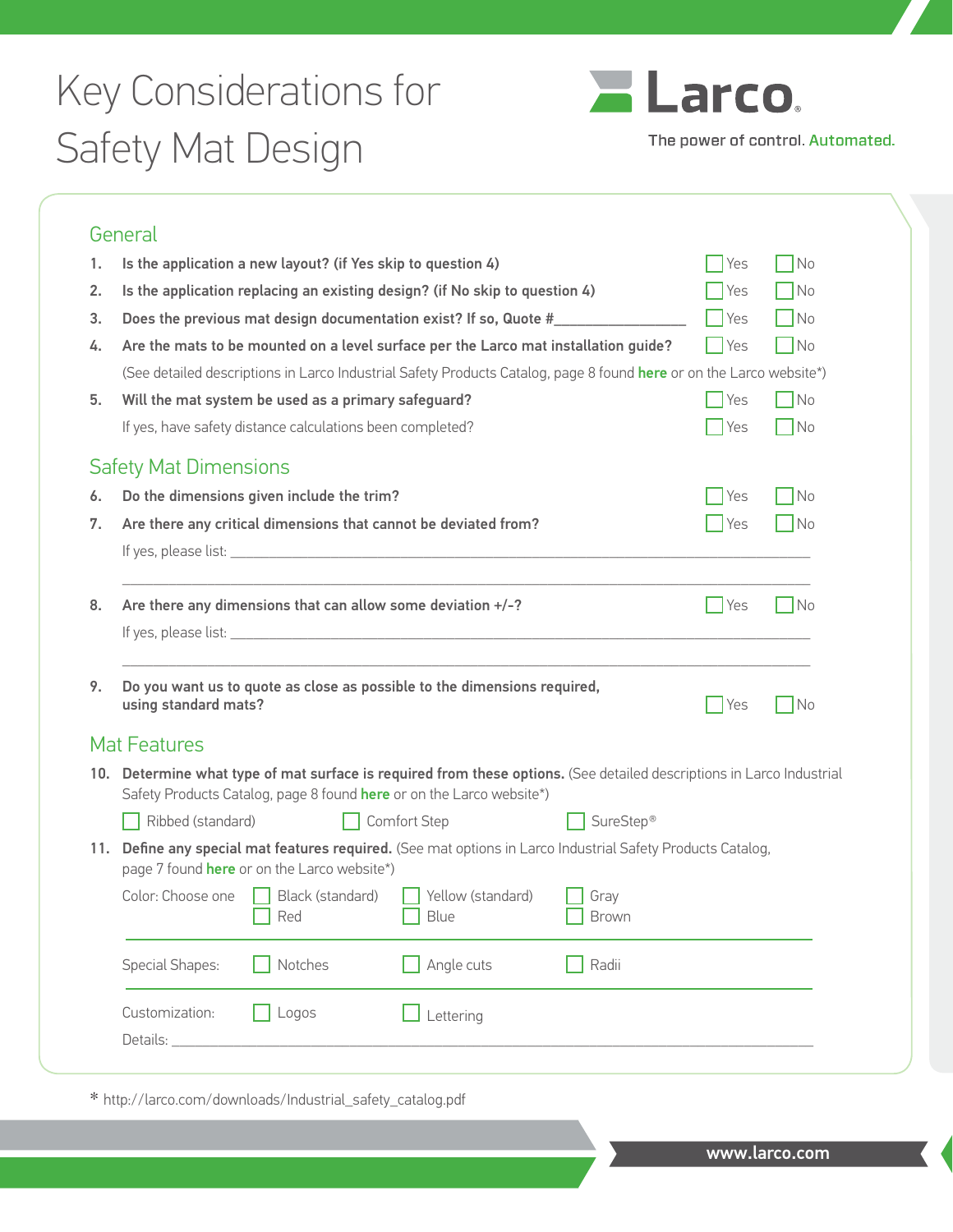## Key Considerations for Safety Mat Design



The power of control. Automated.

|          | General                                                                                                                                                                                       |                                         |                       |                    |                             |
|----------|-----------------------------------------------------------------------------------------------------------------------------------------------------------------------------------------------|-----------------------------------------|-----------------------|--------------------|-----------------------------|
| 1.       | Is the application a new layout? (if Yes skip to question 4)                                                                                                                                  | <b>Yes</b>                              | N <sub>0</sub>        |                    |                             |
| 2.       | Is the application replacing an existing design? (if No skip to question 4)                                                                                                                   | Yes                                     | $\Box$ No             |                    |                             |
| 3.       | Does the previous mat design documentation exist? If so, Quote #                                                                                                                              | $\bigcap$ Yes                           | $\Box$ No             |                    |                             |
| 4.       | Are the mats to be mounted on a level surface per the Larco mat installation guide?                                                                                                           | Yes                                     | N <sub>0</sub>        |                    |                             |
|          | (See detailed descriptions in Larco Industrial Safety Products Catalog, page 8 found here or on the Larco website*)                                                                           |                                         |                       |                    |                             |
| 5.       | Will the mat system be used as a primary safeguard?                                                                                                                                           | Yes                                     | $\neg$ No             |                    |                             |
|          | If yes, have safety distance calculations been completed?                                                                                                                                     |                                         |                       | <b>Yes</b>         | N <sub>0</sub>              |
|          | <b>Safety Mat Dimensions</b>                                                                                                                                                                  |                                         |                       |                    |                             |
| 6.       | Do the dimensions given include the trim?                                                                                                                                                     |                                         |                       | Yes                | $\neg$ No                   |
| 7.       | Are there any critical dimensions that cannot be deviated from?                                                                                                                               |                                         |                       | $\blacksquare$ Yes | $\overline{\phantom{a}}$ No |
|          |                                                                                                                                                                                               |                                         |                       |                    |                             |
|          |                                                                                                                                                                                               |                                         |                       | Yes                | No                          |
|          | Are there any dimensions that can allow some deviation $+/-?$                                                                                                                                 |                                         |                       |                    |                             |
| 8.<br>9. | Do you want us to quote as close as possible to the dimensions required,<br>using standard mats?                                                                                              |                                         |                       | Yes                | N <sub>o</sub>              |
|          | <b>Mat Features</b>                                                                                                                                                                           |                                         |                       |                    |                             |
|          | 10. Determine what type of mat surface is required from these options. (See detailed descriptions in Larco Industrial<br>Safety Products Catalog, page 8 found here or on the Larco website*) |                                         |                       |                    |                             |
|          | Ribbed (standard)                                                                                                                                                                             | <b>Comfort Step</b>                     | SureStep <sup>®</sup> |                    |                             |
|          | 11. Define any special mat features required. (See mat options in Larco Industrial Safety Products Catalog,<br>page 7 found here or on the Larco website*)                                    |                                         |                       |                    |                             |
|          | Color: Choose one Black (standard)<br>Red                                                                                                                                                     | $\Box$ Yellow (standard)<br>$\Box$ Blue | Gray<br><b>Brown</b>  |                    |                             |
|          | Notches<br>Special Shapes:                                                                                                                                                                    | Angle cuts                              | Radii                 |                    |                             |

\* http://larco.com/downloads/Industrial\_safety\_catalog.pdf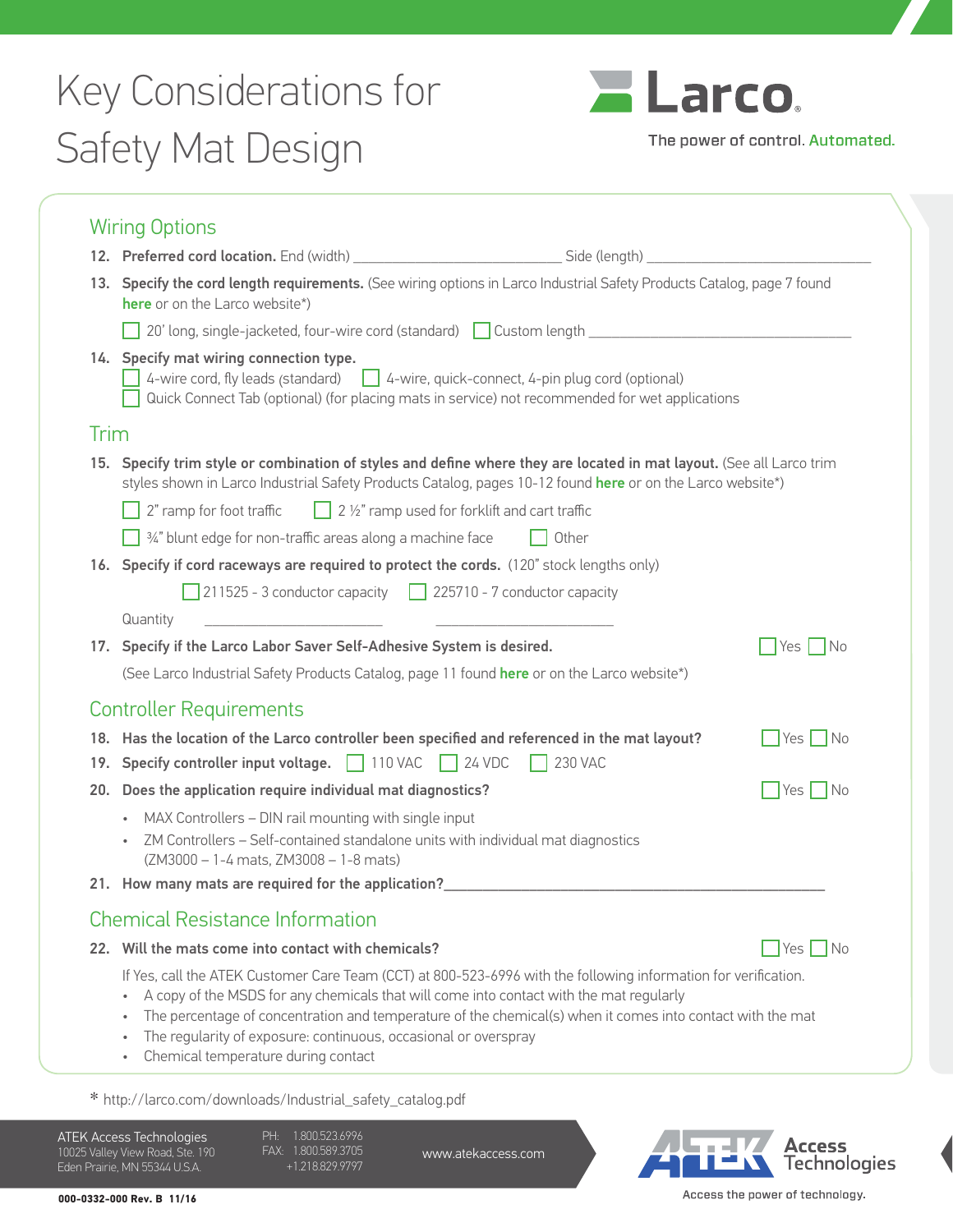## Key Considerations for Safety Mat Design



The power of control. Automated.

|      | 13. Specify the cord length requirements. (See wiring options in Larco Industrial Safety Products Catalog, page 7 found<br>here or on the Larco website*)                                                                                                                                                                                                                                                                                                                              |                                      |
|------|----------------------------------------------------------------------------------------------------------------------------------------------------------------------------------------------------------------------------------------------------------------------------------------------------------------------------------------------------------------------------------------------------------------------------------------------------------------------------------------|--------------------------------------|
|      | 20' long, single-jacketed, four-wire cord (standard) custom length _________________________________                                                                                                                                                                                                                                                                                                                                                                                   |                                      |
|      | 14. Specify mat wiring connection type.<br>$\Box$ 4-wire cord, fly leads (standard) $\Box$ 4-wire, quick-connect, 4-pin plug cord (optional)<br>Quick Connect Tab (optional) (for placing mats in service) not recommended for wet applications                                                                                                                                                                                                                                        |                                      |
| Trim |                                                                                                                                                                                                                                                                                                                                                                                                                                                                                        |                                      |
|      | 15. Specify trim style or combination of styles and define where they are located in mat layout. (See all Larco trim<br>styles shown in Larco Industrial Safety Products Catalog, pages 10-12 found here or on the Larco website*)                                                                                                                                                                                                                                                     |                                      |
|      | $\Box$ 2 1/2" ramp used for forklift and cart traffic<br>2" ramp for foot traffic                                                                                                                                                                                                                                                                                                                                                                                                      |                                      |
|      | $\frac{1}{2}$ %" blunt edge for non-traffic areas along a machine face<br>Other                                                                                                                                                                                                                                                                                                                                                                                                        |                                      |
|      | 16. Specify if cord raceways are required to protect the cords. (120" stock lengths only)                                                                                                                                                                                                                                                                                                                                                                                              |                                      |
|      | 211525 - 3 conductor capacity $\Box$ 225710 - 7 conductor capacity                                                                                                                                                                                                                                                                                                                                                                                                                     |                                      |
|      | <u> 2000 - Jan James James James James James James James James James James James James James James James James J</u><br>Quantity                                                                                                                                                                                                                                                                                                                                                       |                                      |
|      | 17. Specify if the Larco Labor Saver Self-Adhesive System is desired.                                                                                                                                                                                                                                                                                                                                                                                                                  | $\vert$ $\vert$ No<br><b>Yes</b>     |
|      | (See Larco Industrial Safety Products Catalog, page 11 found here or on the Larco website*)                                                                                                                                                                                                                                                                                                                                                                                            |                                      |
|      | <b>Controller Requirements</b>                                                                                                                                                                                                                                                                                                                                                                                                                                                         |                                      |
|      | 18. Has the location of the Larco controller been specified and referenced in the mat layout?<br>19. Specify controller input voltage. 110 VAC 24 VDC<br><b>230 VAC</b>                                                                                                                                                                                                                                                                                                                | Yes   No                             |
|      | 20. Does the application require individual mat diagnostics?                                                                                                                                                                                                                                                                                                                                                                                                                           | Yes No                               |
|      | • MAX Controllers - DIN rail mounting with single input<br>ZM Controllers - Self-contained standalone units with individual mat diagnostics<br>$\bullet$<br>(ZM3000 - 1-4 mats, ZM3008 - 1-8 mats)                                                                                                                                                                                                                                                                                     |                                      |
|      | 21. How many mats are required for the application?_____________________________                                                                                                                                                                                                                                                                                                                                                                                                       |                                      |
|      | <b>Chemical Resistance Information</b>                                                                                                                                                                                                                                                                                                                                                                                                                                                 |                                      |
|      | 22. Will the mats come into contact with chemicals?                                                                                                                                                                                                                                                                                                                                                                                                                                    | $\overline{\phantom{a}}$ No<br>Yes I |
|      | If Yes, call the ATEK Customer Care Team (CCT) at 800-523-6996 with the following information for verification.<br>A copy of the MSDS for any chemicals that will come into contact with the mat regularly<br>$\bullet$<br>The percentage of concentration and temperature of the chemical(s) when it comes into contact with the mat<br>$\bullet$<br>The regularity of exposure: continuous, occasional or overspray<br>$\bullet$<br>Chemical temperature during contact<br>$\bullet$ |                                      |

\* [http://larco.com/downloads/Industrial\\_safety\\_catalog.pdf](http://larco.com/downloads/Industrial_safety_catalog_REV.A.pdf)

ATEK Access Technologies 10025 Valley View Road, Ste. 190 Eden Prairie, MN 55344 U.S.A.

PH: 1.800.523.6996 FAX: 1.800.589.3705 +1.218.829.9797

www.atekaccess.com



Access the power of technology.

**000-0332-000 Rev. B 11/16**